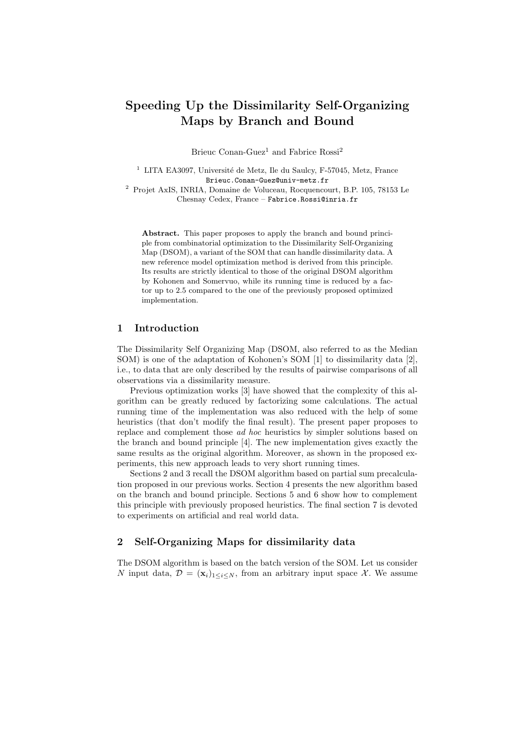# Speeding Up the Dissimilarity Self-Organizing Maps by Branch and Bound

Brieuc Conan-Guez<sup>1</sup> and Fabrice Rossi<sup>2</sup>

 $1$  LITA EA3097, Université de Metz, Ile du Saulcy, F-57045, Metz, France Brieuc.Conan-Guez@univ-metz.fr

<sup>2</sup> Projet AxIS, INRIA, Domaine de Voluceau, Rocquencourt, B.P. 105, 78153 Le Chesnay Cedex, France – Fabrice.Rossi@inria.fr

Abstract. This paper proposes to apply the branch and bound principle from combinatorial optimization to the Dissimilarity Self-Organizing Map (DSOM), a variant of the SOM that can handle dissimilarity data. A new reference model optimization method is derived from this principle. Its results are strictly identical to those of the original DSOM algorithm by Kohonen and Somervuo, while its running time is reduced by a factor up to 2.5 compared to the one of the previously proposed optimized implementation.

# 1 Introduction

The Dissimilarity Self Organizing Map (DSOM, also referred to as the Median SOM) is one of the adaptation of Kohonen's SOM [1] to dissimilarity data [2], i.e., to data that are only described by the results of pairwise comparisons of all observations via a dissimilarity measure.

Previous optimization works [3] have showed that the complexity of this algorithm can be greatly reduced by factorizing some calculations. The actual running time of the implementation was also reduced with the help of some heuristics (that don't modify the final result). The present paper proposes to replace and complement those ad hoc heuristics by simpler solutions based on the branch and bound principle [4]. The new implementation gives exactly the same results as the original algorithm. Moreover, as shown in the proposed experiments, this new approach leads to very short running times.

Sections 2 and 3 recall the DSOM algorithm based on partial sum precalculation proposed in our previous works. Section 4 presents the new algorithm based on the branch and bound principle. Sections 5 and 6 show how to complement this principle with previously proposed heuristics. The final section 7 is devoted to experiments on artificial and real world data.

# 2 Self-Organizing Maps for dissimilarity data

The DSOM algorithm is based on the batch version of the SOM. Let us consider N input data,  $\mathcal{D} = (\mathbf{x}_i)_{1 \leq i \leq N}$ , from an arbitrary input space X. We assume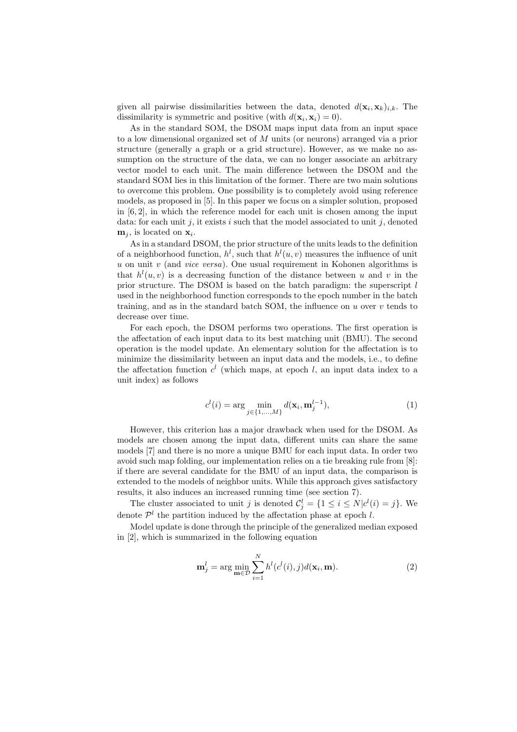given all pairwise dissimilarities between the data, denoted  $d(\mathbf{x}_i, \mathbf{x}_k)_{i,k}$ . The dissimilarity is symmetric and positive (with  $d(\mathbf{x}_i, \mathbf{x}_i) = 0$ ).

As in the standard SOM, the DSOM maps input data from an input space to a low dimensional organized set of M units (or neurons) arranged via a prior structure (generally a graph or a grid structure). However, as we make no assumption on the structure of the data, we can no longer associate an arbitrary vector model to each unit. The main difference between the DSOM and the standard SOM lies in this limitation of the former. There are two main solutions to overcome this problem. One possibility is to completely avoid using reference models, as proposed in [5]. In this paper we focus on a simpler solution, proposed in  $[6, 2]$ , in which the reference model for each unit is chosen among the input data: for each unit j, it exists i such that the model associated to unit j, denoted  $\mathbf{m}_j$ , is located on  $\mathbf{x}_i$ .

As in a standard DSOM, the prior structure of the units leads to the definition of a neighborhood function,  $h^l$ , such that  $h^l(u, v)$  measures the influence of unit  $u$  on unit  $v$  (and *vice versa*). One usual requirement in Kohonen algorithms is that  $h^l(u, v)$  is a decreasing function of the distance between u and v in the prior structure. The DSOM is based on the batch paradigm: the superscript  $l$ used in the neighborhood function corresponds to the epoch number in the batch training, and as in the standard batch SOM, the influence on  $u$  over  $v$  tends to decrease over time.

For each epoch, the DSOM performs two operations. The first operation is the affectation of each input data to its best matching unit (BMU). The second operation is the model update. An elementary solution for the affectation is to minimize the dissimilarity between an input data and the models, i.e., to define the affectation function  $c^{l}$  (which maps, at epoch l, an input data index to a unit index) as follows

$$
c^{l}(i) = \arg\min_{j \in \{1, ..., M\}} d(\mathbf{x}_{i}, \mathbf{m}_{j}^{l-1}),
$$
\n(1)

However, this criterion has a major drawback when used for the DSOM. As models are chosen among the input data, different units can share the same models [7] and there is no more a unique BMU for each input data. In order two avoid such map folding, our implementation relies on a tie breaking rule from [8]: if there are several candidate for the BMU of an input data, the comparison is extended to the models of neighbor units. While this approach gives satisfactory results, it also induces an increased running time (see section 7).

The cluster associated to unit j is denoted  $\mathcal{C}_j^l = \{1 \leq i \leq N | c^l(i) = j\}$ . We denote  $\mathcal{P}^l$  the partition induced by the affectation phase at epoch l.

Model update is done through the principle of the generalized median exposed in [2], which is summarized in the following equation

$$
\mathbf{m}_j^l = \arg\min_{\mathbf{m}\in\mathcal{D}} \sum_{i=1}^N h^l(c^l(i), j) d(\mathbf{x}_i, \mathbf{m}).
$$
\n(2)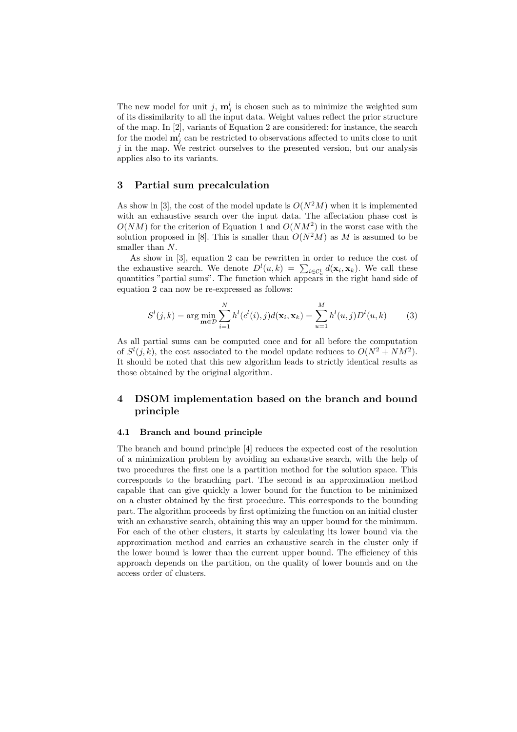The new model for unit j,  $\mathbf{m}_j^l$  is chosen such as to minimize the weighted sum of its dissimilarity to all the input data. Weight values reflect the prior structure of the map. In [2], variants of Equation 2 are considered: for instance, the search for the model  $\mathbf{m}_j^l$  can be restricted to observations affected to units close to unit  $j$  in the map. We restrict ourselves to the presented version, but our analysis applies also to its variants.

# 3 Partial sum precalculation

As show in [3], the cost of the model update is  $O(N^2M)$  when it is implemented with an exhaustive search over the input data. The affectation phase cost is  $O(NM)$  for the criterion of Equation 1 and  $O(NM^2)$  in the worst case with the solution proposed in [8]. This is smaller than  $O(N^2M)$  as M is assumed to be smaller than  $N$ .

As show in [3], equation 2 can be rewritten in order to reduce the cost of the exhaustive search. We denote  $D^{l}(u,k) = \sum_{i \in \mathcal{C}_u^l} d(\mathbf{x}_i, \mathbf{x}_k)$ . We call these quantities "partial sums". The function which appears in the right hand side of equation 2 can now be re-expressed as follows:

$$
S^{l}(j,k) = \arg\min_{\mathbf{m}\in\mathcal{D}} \sum_{i=1}^{N} h^{l}(c^{l}(i),j)d(\mathbf{x}_{i},\mathbf{x}_{k}) = \sum_{u=1}^{M} h^{l}(u,j)D^{l}(u,k)
$$
(3)

As all partial sums can be computed once and for all before the computation of  $S^l(j,k)$ , the cost associated to the model update reduces to  $O(N^2 + NM^2)$ . It should be noted that this new algorithm leads to strictly identical results as those obtained by the original algorithm.

# 4 DSOM implementation based on the branch and bound principle

### 4.1 Branch and bound principle

The branch and bound principle [4] reduces the expected cost of the resolution of a minimization problem by avoiding an exhaustive search, with the help of two procedures the first one is a partition method for the solution space. This corresponds to the branching part. The second is an approximation method capable that can give quickly a lower bound for the function to be minimized on a cluster obtained by the first procedure. This corresponds to the bounding part. The algorithm proceeds by first optimizing the function on an initial cluster with an exhaustive search, obtaining this way an upper bound for the minimum. For each of the other clusters, it starts by calculating its lower bound via the approximation method and carries an exhaustive search in the cluster only if the lower bound is lower than the current upper bound. The efficiency of this approach depends on the partition, on the quality of lower bounds and on the access order of clusters.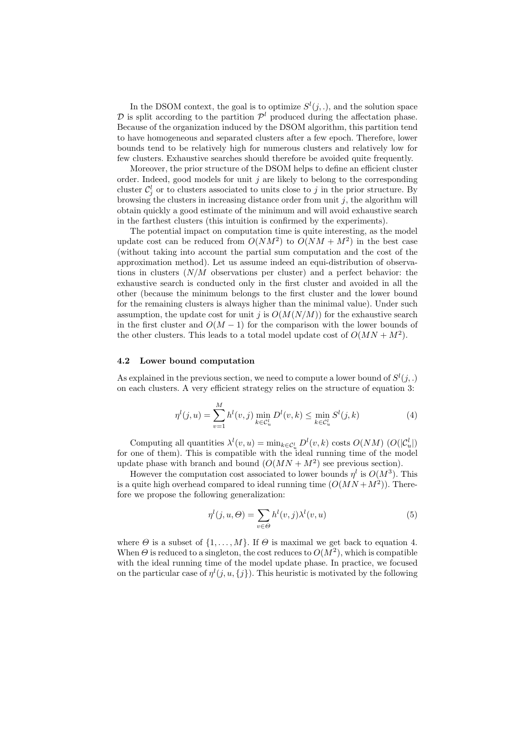In the DSOM context, the goal is to optimize  $S^l(j,.)$ , and the solution space  $\mathcal D$  is split according to the partition  $\mathcal P^l$  produced during the affectation phase. Because of the organization induced by the DSOM algorithm, this partition tend to have homogeneous and separated clusters after a few epoch. Therefore, lower bounds tend to be relatively high for numerous clusters and relatively low for few clusters. Exhaustive searches should therefore be avoided quite frequently.

Moreover, the prior structure of the DSOM helps to define an efficient cluster order. Indeed, good models for unit  $j$  are likely to belong to the corresponding cluster  $\mathcal{C}_j^l$  or to clusters associated to units close to j in the prior structure. By browsing the clusters in increasing distance order from unit  $j$ , the algorithm will obtain quickly a good estimate of the minimum and will avoid exhaustive search in the farthest clusters (this intuition is confirmed by the experiments).

The potential impact on computation time is quite interesting, as the model update cost can be reduced from  $O(NM^2)$  to  $O(NM + M^2)$  in the best case (without taking into account the partial sum computation and the cost of the approximation method). Let us assume indeed an equi-distribution of observations in clusters  $(N/M)$  observations per cluster) and a perfect behavior: the exhaustive search is conducted only in the first cluster and avoided in all the other (because the minimum belongs to the first cluster and the lower bound for the remaining clusters is always higher than the minimal value). Under such assumption, the update cost for unit j is  $O(M(N/M))$  for the exhaustive search in the first cluster and  $O(M-1)$  for the comparison with the lower bounds of the other clusters. This leads to a total model update cost of  $O(MN + M^2)$ .

#### 4.2 Lower bound computation

As explained in the previous section, we need to compute a lower bound of  $S^l(j,.)$ on each clusters. A very efficient strategy relies on the structure of equation 3:

$$
\eta^{l}(j, u) = \sum_{v=1}^{M} h^{l}(v, j) \min_{k \in \mathcal{C}_{u}^{l}} D^{l}(v, k) \le \min_{k \in \mathcal{C}_{u}^{l}} S^{l}(j, k)
$$
(4)

Computing all quantities  $\lambda^l(v, u) = \min_{k \in C_u^l} D^l(v, k)$  costs  $O(NM)$   $(O(|\mathcal{C}_u^l|))$ for one of them). This is compatible with the ideal running time of the model update phase with branch and bound  $(O(MN + M^2))$  see previous section).

However the computation cost associated to lower bounds  $\eta^l$  is  $O(M^3)$ . This is a quite high overhead compared to ideal running time  $(O(MN + M^2))$ . Therefore we propose the following generalization:

$$
\eta^{l}(j, u, \Theta) = \sum_{v \in \Theta} h^{l}(v, j) \lambda^{l}(v, u)
$$
\n(5)

where  $\Theta$  is a subset of  $\{1, \ldots, M\}$ . If  $\Theta$  is maximal we get back to equation 4. When  $\Theta$  is reduced to a singleton, the cost reduces to  $O(M^2)$ , which is compatible with the ideal running time of the model update phase. In practice, we focused on the particular case of  $\eta^l(j, u, \{j\})$ . This heuristic is motivated by the following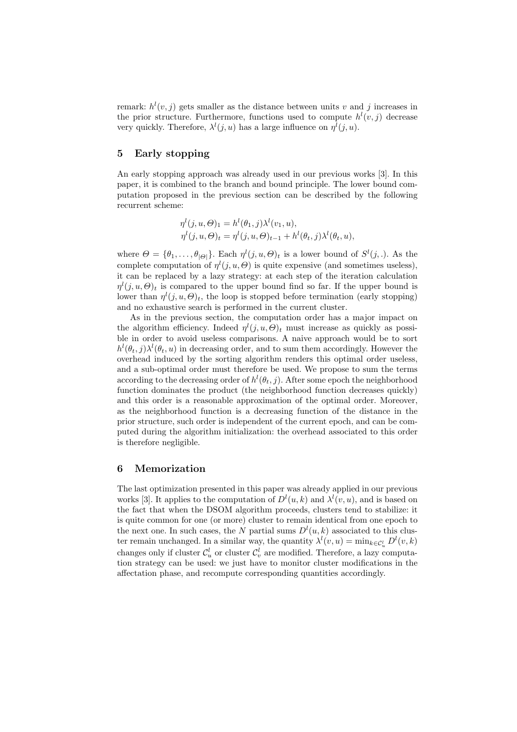remark:  $h^l(v, j)$  gets smaller as the distance between units v and j increases in the prior structure. Furthermore, functions used to compute  $h^{l}(v, j)$  decrease very quickly. Therefore,  $\lambda^l(j, u)$  has a large influence on  $\eta^l(j, u)$ .

# 5 Early stopping

An early stopping approach was already used in our previous works [3]. In this paper, it is combined to the branch and bound principle. The lower bound computation proposed in the previous section can be described by the following recurrent scheme:

$$
\eta^{l}(j, u, \Theta)_{1} = h^{l}(\theta_{1}, j)\lambda^{l}(v_{1}, u), \eta^{l}(j, u, \Theta)_{t} = \eta^{l}(j, u, \Theta)_{t-1} + h^{l}(\theta_{t}, j)\lambda^{l}(\theta_{t}, u),
$$

where  $\Theta = {\theta_1, ..., \theta_{|\Theta|}}$ . Each  $\eta^l(j, u, \Theta)_t$  is a lower bound of  $S^l(j, .)$ . As the complete computation of  $\eta^l(j, u, \Theta)$  is quite expensive (and sometimes useless), it can be replaced by a lazy strategy: at each step of the iteration calculation  $\eta^l(j, u, \Theta)_t$  is compared to the upper bound find so far. If the upper bound is lower than  $\eta^l(j, u, \Theta)_t$ , the loop is stopped before termination (early stopping) and no exhaustive search is performed in the current cluster.

As in the previous section, the computation order has a major impact on the algorithm efficiency. Indeed  $\eta^l(j, u, \Theta)_t$  must increase as quickly as possible in order to avoid useless comparisons. A naive approach would be to sort  $h^l(\theta_t, j) \lambda^l(\theta_t, u)$  in decreasing order, and to sum them accordingly. However the overhead induced by the sorting algorithm renders this optimal order useless, and a sub-optimal order must therefore be used. We propose to sum the terms according to the decreasing order of  $h^l(\theta_t, j)$ . After some epoch the neighborhood function dominates the product (the neighborhood function decreases quickly) and this order is a reasonable approximation of the optimal order. Moreover, as the neighborhood function is a decreasing function of the distance in the prior structure, such order is independent of the current epoch, and can be computed during the algorithm initialization: the overhead associated to this order is therefore negligible.

# 6 Memorization

The last optimization presented in this paper was already applied in our previous works [3]. It applies to the computation of  $D^{l}(u, k)$  and  $\lambda^{l}(v, u)$ , and is based on the fact that when the DSOM algorithm proceeds, clusters tend to stabilize: it is quite common for one (or more) cluster to remain identical from one epoch to the next one. In such cases, the N partial sums  $D^{l}(u, k)$  associated to this cluster remain unchanged. In a similar way, the quantity  $\lambda^{l}(v, u) = \min_{k \in C_u^l} D^{l}(v, k)$ changes only if cluster  $\mathcal{C}_u^l$  or cluster  $\mathcal{C}_v^l$  are modified. Therefore, a lazy computation strategy can be used: we just have to monitor cluster modifications in the affectation phase, and recompute corresponding quantities accordingly.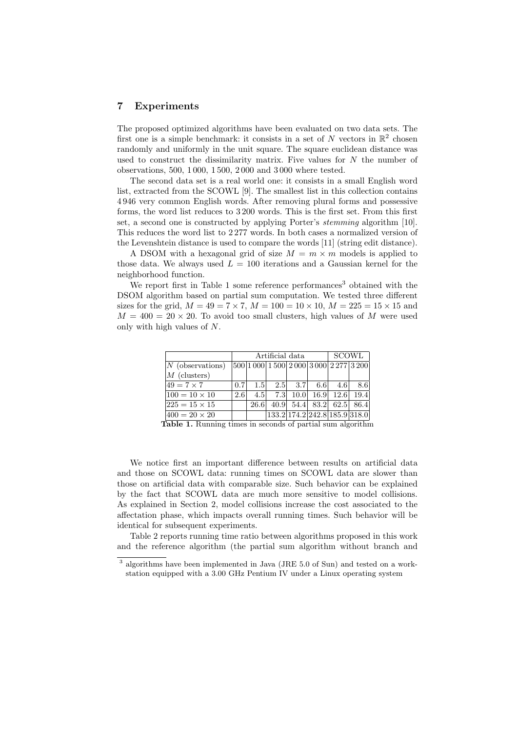# 7 Experiments

The proposed optimized algorithms have been evaluated on two data sets. The first one is a simple benchmark: it consists in a set of  $N$  vectors in  $\mathbb{R}^2$  chosen randomly and uniformly in the unit square. The square euclidean distance was used to construct the dissimilarity matrix. Five values for  $N$  the number of observations, 500, 1 000, 1 500, 2 000 and 3 000 where tested.

The second data set is a real world one: it consists in a small English word list, extracted from the SCOWL [9]. The smallest list in this collection contains 4 946 very common English words. After removing plural forms and possessive forms, the word list reduces to 3 200 words. This is the first set. From this first set, a second one is constructed by applying Porter's stemming algorithm [10]. This reduces the word list to 2 277 words. In both cases a normalized version of the Levenshtein distance is used to compare the words [11] (string edit distance).

A DSOM with a hexagonal grid of size  $M = m \times m$  models is applied to those data. We always used  $L = 100$  iterations and a Gaussian kernel for the neighborhood function.

We report first in Table 1 some reference performances<sup>3</sup> obtained with the DSOM algorithm based on partial sum computation. We tested three different sizes for the grid,  $M = 49 = 7 \times 7$ ,  $M = 100 = 10 \times 10$ ,  $M = 225 = 15 \times 15$  and  $M = 400 = 20 \times 20$ . To avoid too small clusters, high values of M were used only with high values of N.

|                      |     | Artificial data | SCOWL |                                   |  |                       |     |
|----------------------|-----|-----------------|-------|-----------------------------------|--|-----------------------|-----|
| $N$ (observations)   |     |                 |       | 500 1000 1500 2000 3000 2277 3200 |  |                       |     |
| $M$ (clusters)       |     |                 |       |                                   |  |                       |     |
| $49 = 7 \times 7$    | 0.7 |                 |       | $1.5$ $2.5$ $3.7$ $6.6$           |  | 4.6                   | 8.6 |
| $100 = 10 \times 10$ | 2.6 | 4.5             | 7.3   |                                   |  | $10.0$ 16.9 12.6 19.4 |     |
| $225 = 15 \times 15$ |     | 26.6            |       | 40.9 54.4 83.2 62.5 86.4          |  |                       |     |
| $400 = 20 \times 20$ |     |                 |       | 133.2 174.2 242.8 185.9 318.0     |  |                       |     |

Table 1. Running times in seconds of partial sum algorithm

We notice first an important difference between results on artificial data and those on SCOWL data: running times on SCOWL data are slower than those on artificial data with comparable size. Such behavior can be explained by the fact that SCOWL data are much more sensitive to model collisions. As explained in Section 2, model collisions increase the cost associated to the affectation phase, which impacts overall running times. Such behavior will be identical for subsequent experiments.

Table 2 reports running time ratio between algorithms proposed in this work and the reference algorithm (the partial sum algorithm without branch and

<sup>3</sup> algorithms have been implemented in Java (JRE 5.0 of Sun) and tested on a workstation equipped with a 3.00 GHz Pentium IV under a Linux operating system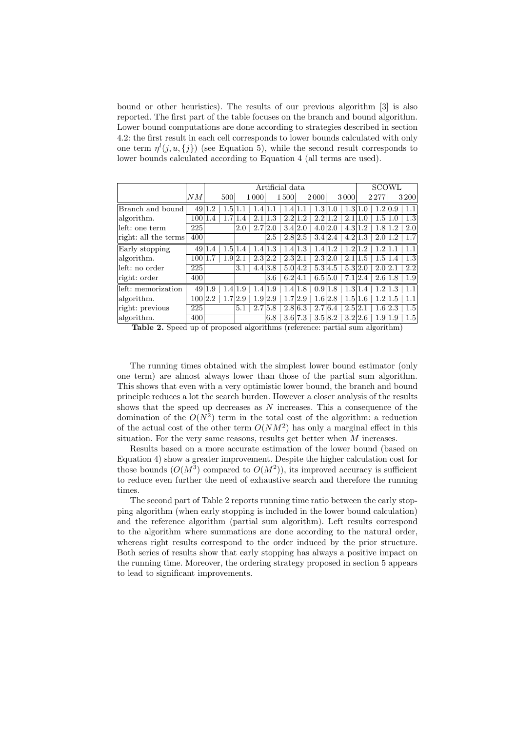bound or other heuristics). The results of our previous algorithm [3] is also reported. The first part of the table focuses on the branch and bound algorithm. Lower bound computations are done according to strategies described in section 4.2: the first result in each cell corresponds to lower bounds calculated with only one term  $\eta^l(j, u, \{j\})$  (see Equation 5), while the second result corresponds to lower bounds calculated according to Equation 4 (all terms are used).

|                      |         |                             | Artificial data |                             | SCOWL                      |                                  |                |
|----------------------|---------|-----------------------------|-----------------|-----------------------------|----------------------------|----------------------------------|----------------|
|                      | NM      | 500                         | 1 0 0 0         | 1500                        | 3000<br>2000               | 2277                             | 3200           |
| Branch and bound     | 49 1    | 1.5<br>$\cdot$ <sup>2</sup> |                 |                             | 1.3 <sub>l</sub><br>1.0    | 1.31<br>1.0                      | 1.2 0.9        |
| algorithm.           | 100 1.4 |                             | 2.1             | $1.3\,$<br>2.2 <sub>1</sub> | $1.2\,$<br>2.2<br>$\Omega$ | 2.1<br>1.5 <sub>l</sub><br>1.0   | 1.3<br>1.0     |
| left: one term       | 225     |                             | 2.0             | 2.7 2.0                     | 3.4 2.0<br>4.0 2.0         | 4.3 <sub>1</sub><br>1.2<br>1.8   | 2.0            |
| right: all the terms | 400     |                             |                 | 2.5                         | 2.8 2.5<br>3.4 2.4         | 4.2<br>1.3                       | 2.01.2         |
| Early stopping       | 49 1    | 1.5<br>.4                   | 1.4             | 1.4 1.3                     | 1.4 1.3<br>1.2<br>1.4      | 1.2<br>$\mathcal{D}$<br>$\Omega$ |                |
| algorithm.           | 10011.7 | 1.9 2.1                     |                 | 2.3 2.1<br>2.3 2.2          | 2.3 2.0                    | 2.1<br>1.5 <sub>1</sub><br>1.5   | 1.3<br>1.4     |
| left: no order       | 225     |                             | 3.1             | 4.4 3.8                     | 5.04.2<br>5.3 4.5          | 5.3 2.0                          | 2.2<br>2.0 2.1 |
| right: order         | 400     |                             |                 | 6.2 4.1<br>3.6              | 6.5 5.0                    | 2.4 <br>7.1<br>2.6               | 1.9<br>1.8     |
| left: memorization   |         | 49 1.9                      | 1.4 1.9         | 1.4 1.9                     | 1.4 1.8<br>0.9 1.8         | 1.3 1.4<br>1.2                   | 1.1<br>1.3     |
| algorithm.           | 100 2.2 |                             | 2.9             | 1.9 2.9<br>1.7              | 2.9<br>1.6 2.8             | 1.5<br>$1.2\,$<br>1.6            | 1.1<br>1.5     |
| right: previous      | 225     |                             | 5.1             | 2.7 5.8                     | 2.8 6.3<br>2.716.4         | 2.5 2.1                          | 1.5<br>1.6 2.3 |
| algorithm.           | 400     |                             |                 | 6.8                         | 3.6 7.3<br>3.5 8.2         | 3.2 2.6                          | 1.9 1.9        |

Table 2. Speed up of proposed algorithms (reference: partial sum algorithm)

The running times obtained with the simplest lower bound estimator (only one term) are almost always lower than those of the partial sum algorithm. This shows that even with a very optimistic lower bound, the branch and bound principle reduces a lot the search burden. However a closer analysis of the results shows that the speed up decreases as  $N$  increases. This a consequence of the domination of the  $O(N^2)$  term in the total cost of the algorithm: a reduction of the actual cost of the other term  $O(NM^2)$  has only a marginal effect in this situation. For the very same reasons, results get better when  $M$  increases.

Results based on a more accurate estimation of the lower bound (based on Equation 4) show a greater improvement. Despite the higher calculation cost for those bounds  $(O(M^3)$  compared to  $O(M^2)$ ), its improved accuracy is sufficient to reduce even further the need of exhaustive search and therefore the running times.

The second part of Table 2 reports running time ratio between the early stopping algorithm (when early stopping is included in the lower bound calculation) and the reference algorithm (partial sum algorithm). Left results correspond to the algorithm where summations are done according to the natural order, whereas right results correspond to the order induced by the prior structure. Both series of results show that early stopping has always a positive impact on the running time. Moreover, the ordering strategy proposed in section 5 appears to lead to significant improvements.